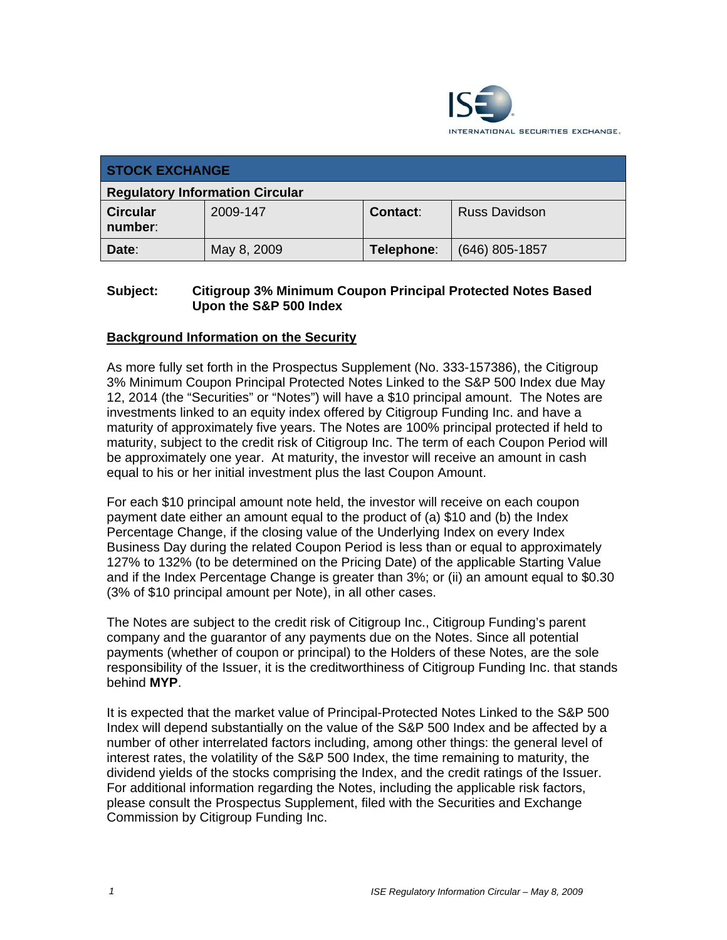

| <b>STOCK EXCHANGE</b>                  |             |            |                      |
|----------------------------------------|-------------|------------|----------------------|
| <b>Regulatory Information Circular</b> |             |            |                      |
| <b>Circular</b><br>number:             | 2009-147    | Contact:   | <b>Russ Davidson</b> |
| Date:                                  | May 8, 2009 | Telephone: | $(646)$ 805-1857     |

# **Subject: Citigroup 3% Minimum Coupon Principal Protected Notes Based Upon the S&P 500 Index**

# **Background Information on the Security**

As more fully set forth in the Prospectus Supplement (No. 333-157386), the Citigroup 3% Minimum Coupon Principal Protected Notes Linked to the S&P 500 Index due May 12, 2014 (the "Securities" or "Notes") will have a \$10 principal amount. The Notes are investments linked to an equity index offered by Citigroup Funding Inc. and have a maturity of approximately five years. The Notes are 100% principal protected if held to maturity, subject to the credit risk of Citigroup Inc. The term of each Coupon Period will be approximately one year. At maturity, the investor will receive an amount in cash equal to his or her initial investment plus the last Coupon Amount.

For each \$10 principal amount note held, the investor will receive on each coupon payment date either an amount equal to the product of (a) \$10 and (b) the Index Percentage Change, if the closing value of the Underlying Index on every Index Business Day during the related Coupon Period is less than or equal to approximately 127% to 132% (to be determined on the Pricing Date) of the applicable Starting Value and if the Index Percentage Change is greater than 3%; or (ii) an amount equal to \$0.30 (3% of \$10 principal amount per Note), in all other cases.

The Notes are subject to the credit risk of Citigroup Inc., Citigroup Funding's parent company and the guarantor of any payments due on the Notes. Since all potential payments (whether of coupon or principal) to the Holders of these Notes, are the sole responsibility of the Issuer, it is the creditworthiness of Citigroup Funding Inc. that stands behind **MYP**.

It is expected that the market value of Principal-Protected Notes Linked to the S&P 500 Index will depend substantially on the value of the S&P 500 Index and be affected by a number of other interrelated factors including, among other things: the general level of interest rates, the volatility of the S&P 500 Index, the time remaining to maturity, the dividend yields of the stocks comprising the Index, and the credit ratings of the Issuer. For additional information regarding the Notes, including the applicable risk factors, please consult the Prospectus Supplement, filed with the Securities and Exchange Commission by Citigroup Funding Inc.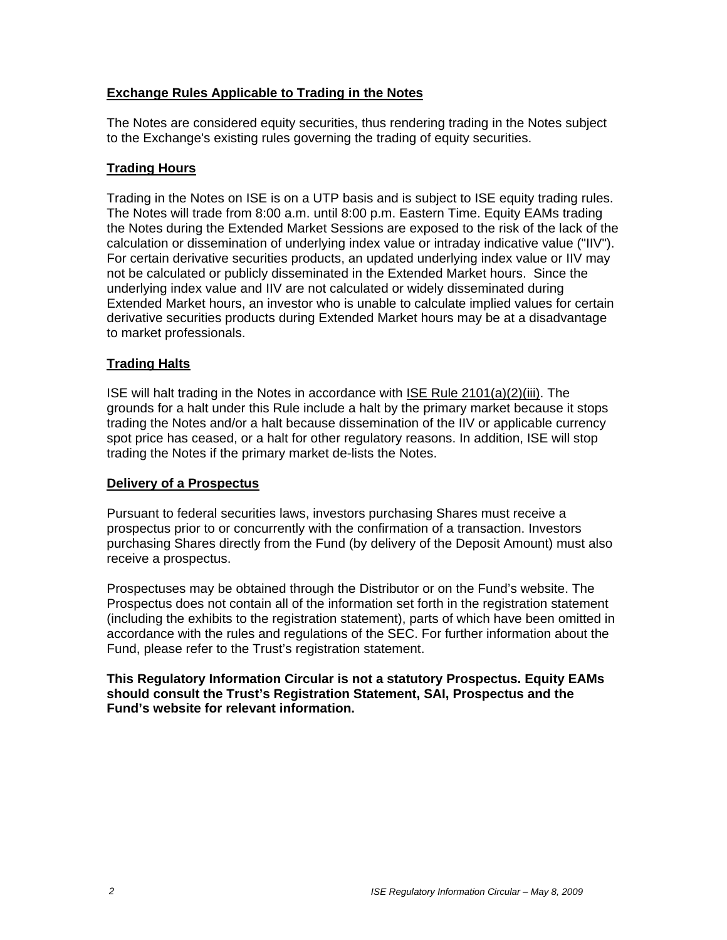# **Exchange Rules Applicable to Trading in the Notes**

The Notes are considered equity securities, thus rendering trading in the Notes subject to the Exchange's existing rules governing the trading of equity securities.

# **Trading Hours**

Trading in the Notes on ISE is on a UTP basis and is subject to ISE equity trading rules. The Notes will trade from 8:00 a.m. until 8:00 p.m. Eastern Time. Equity EAMs trading the Notes during the Extended Market Sessions are exposed to the risk of the lack of the calculation or dissemination of underlying index value or intraday indicative value ("IIV"). For certain derivative securities products, an updated underlying index value or IIV may not be calculated or publicly disseminated in the Extended Market hours. Since the underlying index value and IIV are not calculated or widely disseminated during Extended Market hours, an investor who is unable to calculate implied values for certain derivative securities products during Extended Market hours may be at a disadvantage to market professionals.

# **Trading Halts**

ISE will halt trading in the Notes in accordance with ISE Rule 2101(a)(2)(iii). The grounds for a halt under this Rule include a halt by the primary market because it stops trading the Notes and/or a halt because dissemination of the IIV or applicable currency spot price has ceased, or a halt for other regulatory reasons. In addition, ISE will stop trading the Notes if the primary market de-lists the Notes.

# **Delivery of a Prospectus**

Pursuant to federal securities laws, investors purchasing Shares must receive a prospectus prior to or concurrently with the confirmation of a transaction. Investors purchasing Shares directly from the Fund (by delivery of the Deposit Amount) must also receive a prospectus.

Prospectuses may be obtained through the Distributor or on the Fund's website. The Prospectus does not contain all of the information set forth in the registration statement (including the exhibits to the registration statement), parts of which have been omitted in accordance with the rules and regulations of the SEC. For further information about the Fund, please refer to the Trust's registration statement.

**This Regulatory Information Circular is not a statutory Prospectus. Equity EAMs should consult the Trust's Registration Statement, SAI, Prospectus and the Fund's website for relevant information.**